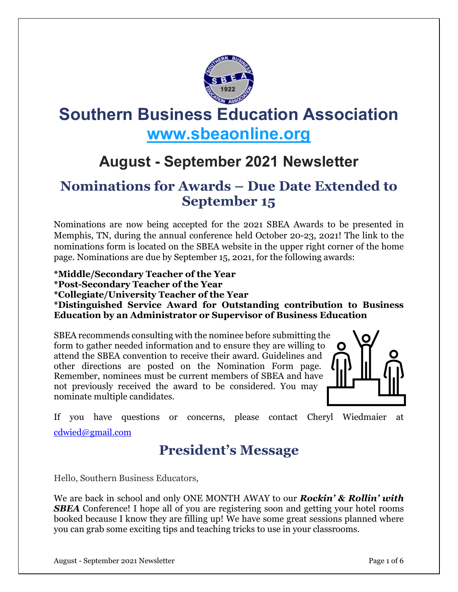

# **Southern Business Education Association [www.sbeaonline.org](https://www.sbeaonline.org/)**

## **August - September 2021 Newsletter**

#### **Nominations for Awards – Due Date Extended to September 15**

Nominations are now being accepted for the 2021 SBEA Awards to be presented in Memphis, TN, during the annual conference held October 20-23, 2021! The link to the nominations form is located on the SBEA website in the upper right corner of the home page. Nominations are due by September 15, 2021, for the following awards:

**\*Middle/Secondary Teacher of the Year \*Post-Secondary Teacher of the Year \*Collegiate/University Teacher of the Year \*Distinguished Service Award for Outstanding contribution to Business Education by an Administrator or Supervisor of Business Education**

SBEA recommends consulting with the nominee before submitting the form to gather needed information and to ensure they are willing to attend the SBEA convention to receive their award. Guidelines and other directions are posted on the Nomination Form page. Remember, nominees must be current members of SBEA and have not previously received the award to be considered. You may nominate multiple candidates.



If you have questions or concerns, please contact Cheryl Wiedmaier at [cdwied@gmail.com](mailto:cdwied@gmail.com)

#### **President's Message**

Hello, Southern Business Educators,

We are back in school and only ONE MONTH AWAY to our *Rockin' & Rollin' with SBEA* Conference! I hope all of you are registering soon and getting your hotel rooms booked because I know they are filling up! We have some great sessions planned where you can grab some exciting tips and teaching tricks to use in your classrooms.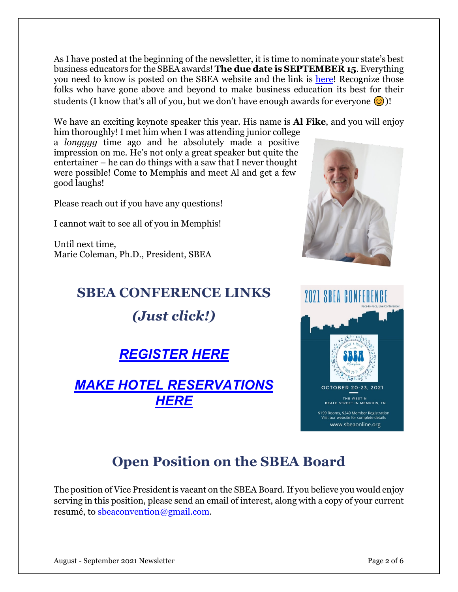As I have posted at the beginning of the newsletter, it is time to nominate your state's best business educators for the SBEA awards! **The due date is SEPTEMBER 15**. Everything you need to know is posted on the SBEA website and the link is [here!](https://www.sbeaonline.org/sbea-nomination-form) Recognize those folks who have gone above and beyond to make business education its best for their students (I know that's all of you, but we don't have enough awards for everyone  $\odot$ )!

We have an exciting keynote speaker this year. His name is **Al Fike**, and you will enjoy

him thoroughly! I met him when I was attending junior college a *longggg* time ago and he absolutely made a positive impression on me. He's not only a great speaker but quite the entertainer – he can do things with a saw that I never thought were possible! Come to Memphis and meet Al and get a few good laughs!

Please reach out if you have any questions!

I cannot wait to see all of you in Memphis!

Until next time, Marie Coleman, Ph.D., President, SBEA

# **SBEA CONFERENCE LINKS** *(Just click!)*

*[REGISTER](https://www.sbeaonline.org/conference-registration) HERE*

#### *MAKE HOTEL [RESERVATIONS](https://www.sbeaonline.org/hotel-information) [HERE](https://www.sbeaonline.org/hotel-information)*





#### **Open Position on the SBEA Board**

The position of Vice President is vacant on the SBEA Board. If you believe you would enjoy serving in this position, please send an email of interest, along with a copy of your current resumé, to sbeaconvention@gmail.com.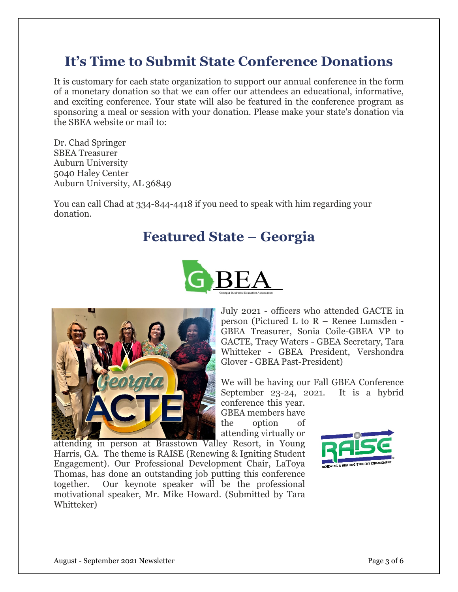#### **It's Time to Submit State Conference Donations**

It is customary for each state organization to support our annual conference in the form of a monetary donation so that we can offer our attendees an educational, informative, and exciting conference. Your state will also be featured in the conference program as sponsoring a meal or session with your donation. Please make your state's donation via the SBEA website or mail to:

Dr. Chad Springer SBEA Treasurer Auburn University 5040 Haley Center Auburn University, AL 36849

You can call Chad at 334-844-4418 if you need to speak with him regarding your donation.

#### **Featured State – Georgia**





July 2021 - officers who attended GACTE in person (Pictured L to R – Renee Lumsden - GBEA Treasurer, Sonia Coile-GBEA VP to GACTE, Tracy Waters - GBEA Secretary, Tara Whitteker - GBEA President, Vershondra Glover - GBEA Past-President)

We will be having our Fall GBEA Conference September 23-24, 2021. It is a hybrid conference this year.

GBEA members have the option of attending virtually or

attending in person at Brasstown Valley Resort, in Young Harris, GA. The theme is RAISE (Renewing & Igniting Student Engagement). Our Professional Development Chair, LaToya Thomas, has done an outstanding job putting this conference together. Our keynote speaker will be the professional motivational speaker, Mr. Mike Howard. (Submitted by Tara Whitteker)

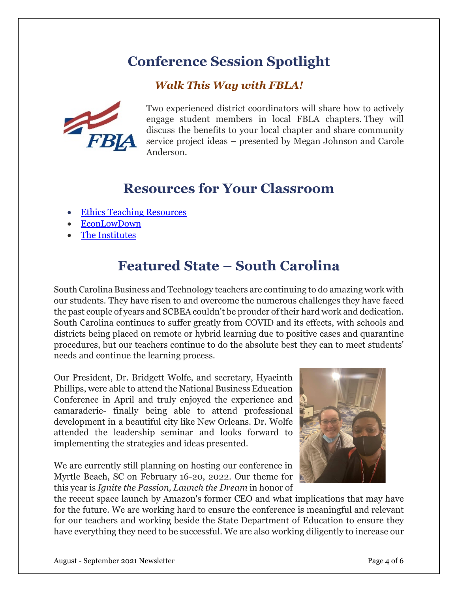## **Conference Session Spotlight**

#### *Walk This Way with FBLA!*



Two experienced district coordinators will share how to actively engage student members in local FBLA chapters. They will discuss the benefits to your local chapter and share community service project ideas – presented by Megan Johnson and Carole Anderson.

#### **Resources for Your Classroom**

- Ethics Teaching [Resources](https://danielsethics.mgt.unm.edu/teaching-resources/classroom-exercises.asp)
- [EconLowDown](https://www.econlowdown.org/)
- [The Institutes](https://web.theinstitutes.org/)

## **Featured State – South Carolina**

South Carolina Business and Technology teachers are continuing to do amazing work with our students. They have risen to and overcome the numerous challenges they have faced the past couple of years and SCBEA couldn't be prouder of their hard work and dedication. South Carolina continues to suffer greatly from COVID and its effects, with schools and districts being placed on remote or hybrid learning due to positive cases and quarantine procedures, but our teachers continue to do the absolute best they can to meet students' needs and continue the learning process.

Our President, Dr. Bridgett Wolfe, and secretary, Hyacinth Phillips, were able to attend the National Business Education Conference in April and truly enjoyed the experience and camaraderie- finally being able to attend professional development in a beautiful city like New Orleans. Dr. Wolfe attended the leadership seminar and looks forward to implementing the strategies and ideas presented.

We are currently still planning on hosting our conference in Myrtle Beach, SC on February 16-20, 2022. Our theme for this year is *Ignite the Passion, Launch the Dream* in honor of



the recent space launch by Amazon's former CEO and what implications that may have for the future. We are working hard to ensure the conference is meaningful and relevant for our teachers and working beside the State Department of Education to ensure they have everything they need to be successful. We are also working diligently to increase our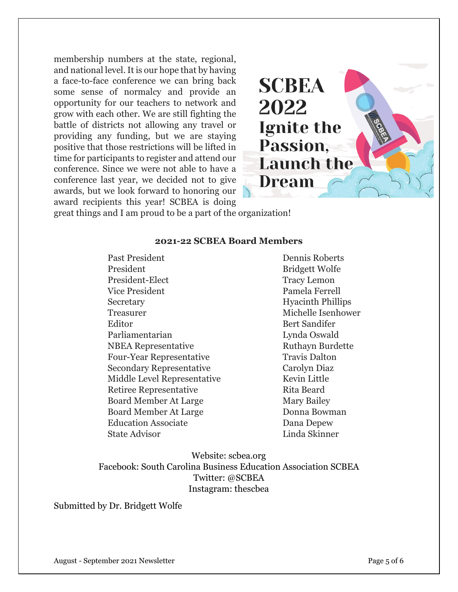membership numbers at the state, regional, and national level. It is our hope that by having a face-to-face conference we can bring back some sense of normalcy and provide an opportunity for our teachers to network and grow with each other. We are still fighting the battle of districts not allowing any travel or providing any funding, but we are staying positive that those restrictions will be lifted in time for participants to register and attend our conference. Since we were not able to have a conference last year, we decided not to give awards, but we look forward to honoring our award recipients this year! SCBEA is doing

**SCBEA** 2022 Ignite the Passion. **Launch the** Dream

great things and I am proud to be a part of the organization!

#### **2021-22 SCBEA Board Members**

Past President Dennis Roberts President Bridgett Wolfe President-Elect Tracy Lemon Vice President Pamela Ferrell Secretary Hyacinth Phillips Treasurer Michelle Isenhower Editor Bert Sandifer Parliamentarian Lynda Oswald NBEA Representative Ruthayn Burdette Four-Year Representative Travis Dalton Secondary Representative Carolyn Diaz Middle Level Representative Kevin Little Retiree Representative Rita Beard Board Member At Large Mary Bailey Board Member At Large Donna Bowman Education Associate Dana Depew State Advisor Linda Skinner

Website: scbea.org Facebook: South Carolina Business Education Association SCBEA Twitter: @SCBEA Instagram: thescbea

Submitted by Dr. Bridgett Wolfe